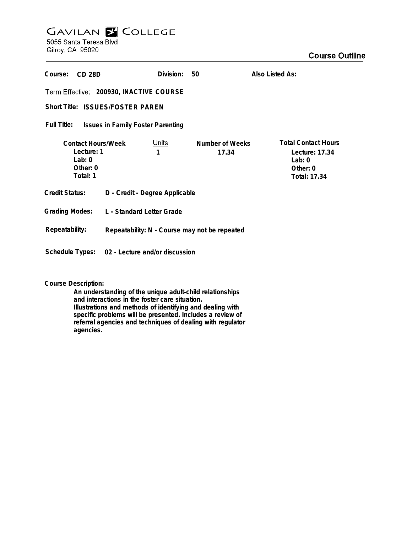## **GAVILAN E COLLEGE** 5055 Santa Teresa Blvd

Gilroy, CA 95020

| Course:<br>$CD$ 28 $D$                                                      |                                               | Division:  | 50                       | Also Listed As:                                                                      |
|-----------------------------------------------------------------------------|-----------------------------------------------|------------|--------------------------|--------------------------------------------------------------------------------------|
| Term Effective: 200930, INACTIVE COURSE                                     |                                               |            |                          |                                                                                      |
| Short Title: ISSUES/FOSTER PAREN                                            |                                               |            |                          |                                                                                      |
| <b>Full Title:</b><br><b>Issues in Family Foster Parenting</b>              |                                               |            |                          |                                                                                      |
| <b>Contact Hours/Week</b><br>Lecture: 1<br>Lab: $0$<br>Other: 0<br>Total: 1 |                                               | Units<br>1 | Number of Weeks<br>17.34 | <b>Total Contact Hours</b><br>Lecture: 17.34<br>Lab: $0$<br>Other: 0<br>Total: 17.34 |
| <b>Credit Status:</b>                                                       | D - Credit - Degree Applicable                |            |                          |                                                                                      |
| <b>Grading Modes:</b>                                                       | L - Standard Letter Grade                     |            |                          |                                                                                      |
| Repeatability:                                                              | Repeatability: N - Course may not be repeated |            |                          |                                                                                      |
| Schedule Types:<br>02 - Lecture and/or discussion                           |                                               |            |                          |                                                                                      |

**Course Description:**

**An understanding of the unique adult-child relationships and interactions in the foster care situation. Illustrations and methods of identifying and dealing with specific problems will be presented. Includes a review of referral agencies and techniques of dealing with regulator agencies.**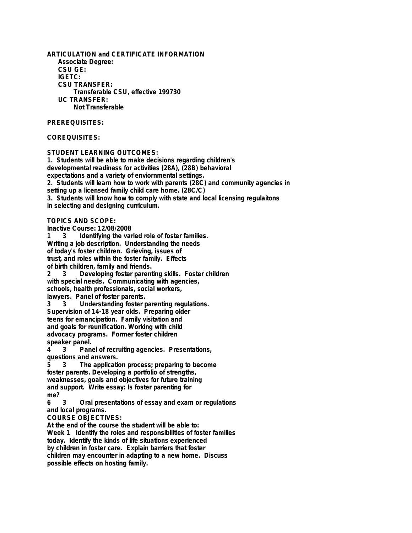**ARTICULATION and CERTIFICATE INFORMATION Associate Degree: CSU GE: IGETC: CSU TRANSFER: Transferable CSU, effective 199730 UC TRANSFER: Not Transferable**

**PREREQUISITES:**

**COREQUISITES:**

**STUDENT LEARNING OUTCOMES: 1. Students will be able to make decisions regarding children's developmental readiness for activities (28A), (28B) behavioral expectations and a variety of enviornmental settings. 2. Students will learn how to work with parents (28C) and community agencies in setting up a licensed family child care home. (28C/C) 3. Students will know how to comply with state and local licensing regulaitons in selecting and designing curriculum.**

**TOPICS AND SCOPE:**

**Inactive Course: 12/08/2008**

**1 3 Identifying the varied role of foster families. Writing a job description. Understanding the needs of today's foster children. Grieving, issues of trust, and roles within the foster family. Effects of birth children, family and friends. 2 3 Developing foster parenting skills. Foster children**

**with special needs. Communicating with agencies, schools, health professionals, social workers, lawyers. Panel of foster parents.**

**3 3 Understanding foster parenting regulations. Supervision of 14-18 year olds. Preparing older teens for emancipation. Family visitation and and goals for reunification. Working with child advocacy programs. Former foster children speaker panel.**

**4 3 Panel of recruiting agencies. Presentations, questions and answers.**

**5 3 The application process; preparing to become foster parents. Developing a portfolio of strengths, weaknesses, goals and objectives for future training and support. Write essay: Is foster parenting for me?**

**6 3 Oral presentations of essay and exam or regulations and local programs.**

**COURSE OBJECTIVES:**

**At the end of the course the student will be able to: Week 1 Identify the roles and responsibilities of foster families today. Identify the kinds of life situations experienced by children in foster care. Explain barriers that foster children may encounter in adapting to a new home. Discuss possible effects on hosting family.**